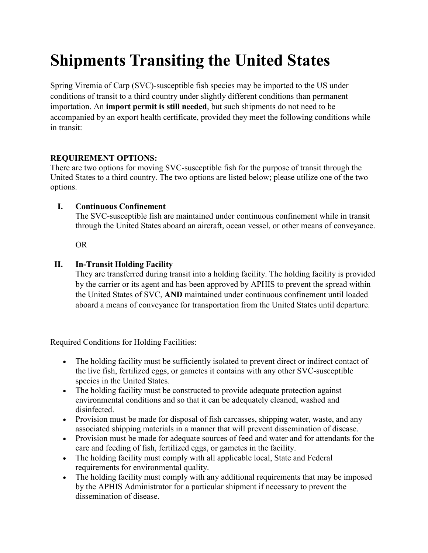# **Shipments Transiting the United States**

Spring Viremia of Carp (SVC)-susceptible fish species may be imported to the US under conditions of transit to a third country under slightly different conditions than permanent importation. An **import permit is still needed**, but such shipments do not need to be accompanied by an export health certificate, provided they meet the following conditions while in transit:

## **REQUIREMENT OPTIONS:**

There are two options for moving SVC-susceptible fish for the purpose of transit through the United States to a third country. The two options are listed below; please utilize one of the two options.

## **I. Continuous Confinement**

The SVC-susceptible fish are maintained under continuous confinement while in transit through the United States aboard an aircraft, ocean vessel, or other means of conveyance.

OR

## **II. In-Transit Holding Facility**

They are transferred during transit into a holding facility. The holding facility is provided by the carrier or its agent and has been approved by APHIS to prevent the spread within the United States of SVC, **AND** maintained under continuous confinement until loaded aboard a means of conveyance for transportation from the United States until departure.

#### Required Conditions for Holding Facilities:

- The holding facility must be sufficiently isolated to prevent direct or indirect contact of the live fish, fertilized eggs, or gametes it contains with any other SVC-susceptible species in the United States.
- The holding facility must be constructed to provide adequate protection against environmental conditions and so that it can be adequately cleaned, washed and disinfected.
- Provision must be made for disposal of fish carcasses, shipping water, waste, and any associated shipping materials in a manner that will prevent dissemination of disease.
- Provision must be made for adequate sources of feed and water and for attendants for the care and feeding of fish, fertilized eggs, or gametes in the facility.
- The holding facility must comply with all applicable local, State and Federal requirements for environmental quality.
- The holding facility must comply with any additional requirements that may be imposed by the APHIS Administrator for a particular shipment if necessary to prevent the dissemination of disease.